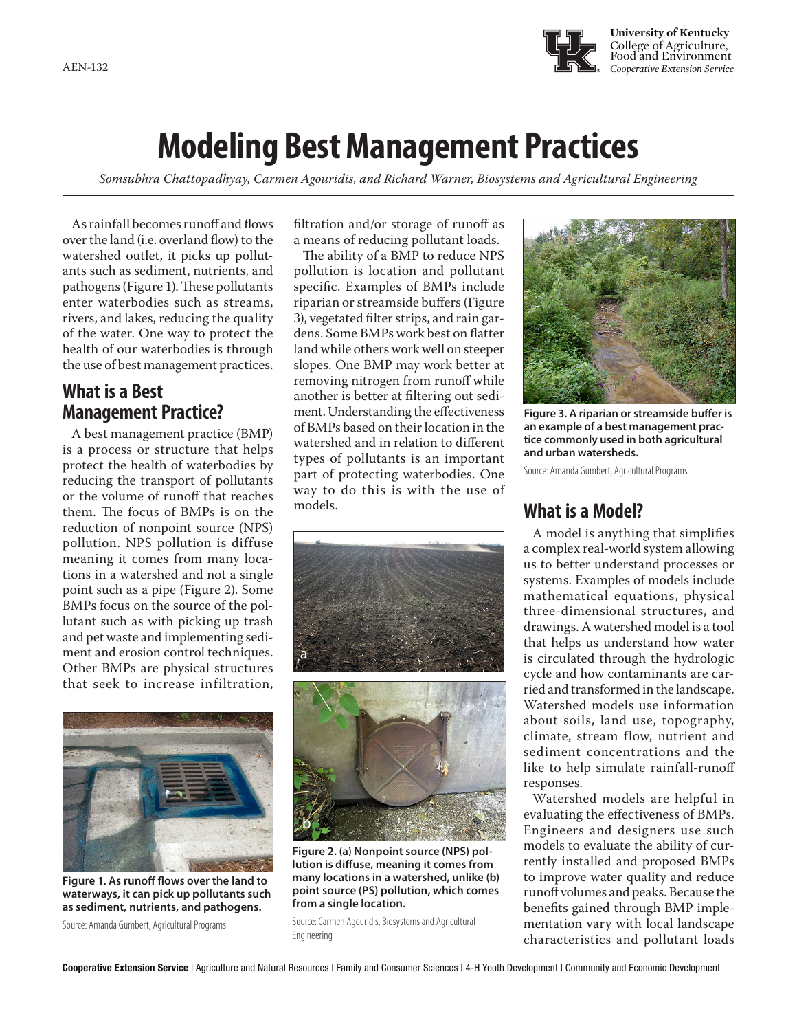

# **Modeling Best Management Practices**

*Somsubhra Chattopadhyay, Carmen Agouridis, and Richard Warner, Biosystems and Agricultural Engineering*

As rainfall becomes runoff and flows over the land (i.e. overland flow) to the watershed outlet, it picks up pollutants such as sediment, nutrients, and pathogens (Figure 1). These pollutants enter waterbodies such as streams, rivers, and lakes, reducing the quality of the water. One way to protect the health of our waterbodies is through the use of best management practices.

# **What is a Best Management Practice?**

A best management practice (BMP) is a process or structure that helps protect the health of waterbodies by reducing the transport of pollutants or the volume of runoff that reaches them. The focus of BMPs is on the reduction of nonpoint source (NPS) pollution. NPS pollution is diffuse meaning it comes from many locations in a watershed and not a single point such as a pipe (Figure 2). Some BMPs focus on the source of the pollutant such as with picking up trash and pet waste and implementing sediment and erosion control techniques. Other BMPs are physical structures that seek to increase infiltration,



**Figure 1. As runoff flows over the land to waterways, it can pick up pollutants such as sediment, nutrients, and pathogens.** 

Source: Amanda Gumbert, Agricultural Programs

filtration and/or storage of runoff as a means of reducing pollutant loads.

The ability of a BMP to reduce NPS pollution is location and pollutant specific. Examples of BMPs include riparian or streamside buffers (Figure 3), vegetated filter strips, and rain gardens. Some BMPs work best on flatter land while others work well on steeper slopes. One BMP may work better at removing nitrogen from runoff while another is better at filtering out sediment. Understanding the effectiveness of BMPs based on their location in the watershed and in relation to different types of pollutants is an important part of protecting waterbodies. One way to do this is with the use of





**Figure 2. (a) Nonpoint source (NPS) pollution is diffuse, meaning it comes from many locations in a watershed, unlike (b) point source (PS) pollution, which comes from a single location.** 



**Figure 3. A riparian or streamside buffer is an example of a best management practice commonly used in both agricultural and urban watersheds.** 

Source: Amanda Gumbert, Agricultural Programs

## **What is a Model?**

A model is anything that simplifies a complex real-world system allowing us to better understand processes or systems. Examples of models include mathematical equations, physical three-dimensional structures, and drawings. A watershed model is a tool that helps us understand how water is circulated through the hydrologic cycle and how contaminants are carried and transformed in the landscape. Watershed models use information about soils, land use, topography, climate, stream flow, nutrient and sediment concentrations and the like to help simulate rainfall-runoff responses.

Watershed models are helpful in evaluating the effectiveness of BMPs. Engineers and designers use such models to evaluate the ability of currently installed and proposed BMPs to improve water quality and reduce runoff volumes and peaks. Because the benefits gained through BMP implementation vary with local landscape characteristics and pollutant loads

Source: Carmen Agouridis, Biosystems and Agricultural Engineering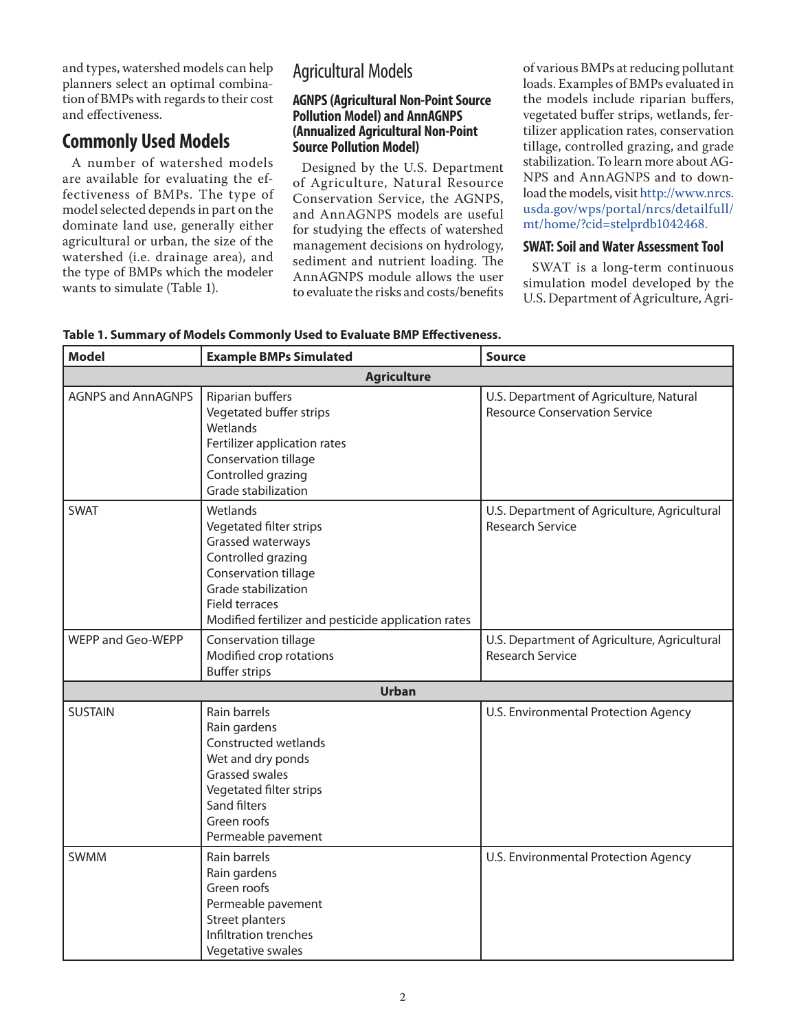and types, watershed models can help planners select an optimal combination of BMPs with regards to their cost and effectiveness.

# **Commonly Used Models**

A number of watershed models are available for evaluating the effectiveness of BMPs. The type of model selected depends in part on the dominate land use, generally either agricultural or urban, the size of the watershed (i.e. drainage area), and the type of BMPs which the modeler wants to simulate (Table 1).

# Agricultural Models

### **AGNPS (Agricultural Non-Point Source Pollution Model) and AnnAGNPS (Annualized Agricultural Non-Point Source Pollution Model)**

Designed by the U.S. Department of Agriculture, Natural Resource Conservation Service, the AGNPS, and AnnAGNPS models are useful for studying the effects of watershed management decisions on hydrology, sediment and nutrient loading. The AnnAGNPS module allows the user to evaluate the risks and costs/benefits of various BMPs at reducing pollutant loads. Examples of BMPs evaluated in the models include riparian buffers, vegetated buffer strips, wetlands, fertilizer application rates, conservation tillage, controlled grazing, and grade stabilization. To learn more about AG-NPS and AnnAGNPS and to download the models, visit [http://www.nrcs.](http://www.nrcs.usda.gov/wps/portal/nrcs/detailfull/mt/home/?cid=stelprdb1042468) [usda.gov/wps/portal/nrcs/detailfull/](http://www.nrcs.usda.gov/wps/portal/nrcs/detailfull/mt/home/?cid=stelprdb1042468) [mt/home/?cid=stelprdb1042468.](http://www.nrcs.usda.gov/wps/portal/nrcs/detailfull/mt/home/?cid=stelprdb1042468)

## **SWAT: Soil and Water Assessment Tool**

SWAT is a long-term continuous simulation model developed by the U.S. Department of Agriculture, Agri-

| <b>Model</b>              | <b>Example BMPs Simulated</b>                                                                                                                                                                                 | <b>Source</b>                                                                   |
|---------------------------|---------------------------------------------------------------------------------------------------------------------------------------------------------------------------------------------------------------|---------------------------------------------------------------------------------|
| <b>Agriculture</b>        |                                                                                                                                                                                                               |                                                                                 |
| <b>AGNPS and AnnAGNPS</b> | Riparian buffers<br>Vegetated buffer strips<br>Wetlands<br>Fertilizer application rates<br>Conservation tillage<br>Controlled grazing<br>Grade stabilization                                                  | U.S. Department of Agriculture, Natural<br><b>Resource Conservation Service</b> |
| <b>SWAT</b>               | Wetlands<br>Vegetated filter strips<br>Grassed waterways<br>Controlled grazing<br>Conservation tillage<br>Grade stabilization<br><b>Field terraces</b><br>Modified fertilizer and pesticide application rates | U.S. Department of Agriculture, Agricultural<br><b>Research Service</b>         |
| WEPP and Geo-WEPP         | Conservation tillage<br>Modified crop rotations<br><b>Buffer strips</b>                                                                                                                                       | U.S. Department of Agriculture, Agricultural<br><b>Research Service</b>         |
| <b>Urban</b>              |                                                                                                                                                                                                               |                                                                                 |
| <b>SUSTAIN</b>            | Rain barrels<br>Rain gardens<br>Constructed wetlands<br>Wet and dry ponds<br><b>Grassed swales</b><br>Vegetated filter strips<br>Sand filters<br>Green roofs<br>Permeable pavement                            | U.S. Environmental Protection Agency                                            |
| <b>SWMM</b>               | Rain barrels<br>Rain gardens<br>Green roofs<br>Permeable pavement<br>Street planters<br>Infiltration trenches<br>Vegetative swales                                                                            | U.S. Environmental Protection Agency                                            |